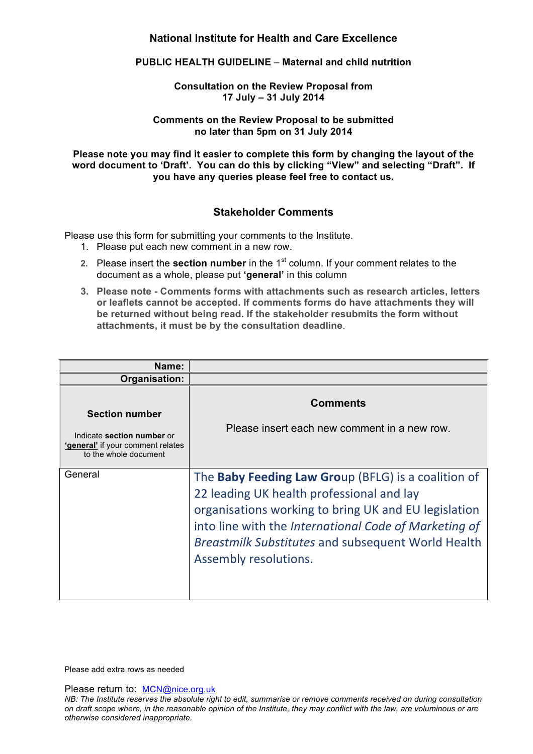# **National Institute for Health and Care Excellence**

#### **PUBLIC HEALTH GUIDELINE** – **Maternal and child nutrition**

### **Consultation on the Review Proposal from 17 July – 31 July 2014**

#### **Comments on the Review Proposal to be submitted no later than 5pm on 31 July 2014**

**Please note you may find it easier to complete this form by changing the layout of the word document to 'Draft'. You can do this by clicking "View" and selecting "Draft". If you have any queries please feel free to contact us.**

## **Stakeholder Comments**

Please use this form for submitting your comments to the Institute.

- 1. Please put each new comment in a new row.
- **2.** Please insert the **section number** in the 1<sup>st</sup> column. If your comment relates to the document as a whole, please put **'general'** in this column
- **3. Please note - Comments forms with attachments such as research articles, letters or leaflets cannot be accepted. If comments forms do have attachments they will be returned without being read. If the stakeholder resubmits the form without attachments, it must be by the consultation deadline**.

| Name:                                                                                                             |                                                                                                                                                                                                                                                                                                                |
|-------------------------------------------------------------------------------------------------------------------|----------------------------------------------------------------------------------------------------------------------------------------------------------------------------------------------------------------------------------------------------------------------------------------------------------------|
| Organisation:                                                                                                     |                                                                                                                                                                                                                                                                                                                |
| <b>Section number</b><br>Indicate section number or<br>'general' if your comment relates<br>to the whole document | <b>Comments</b><br>Please insert each new comment in a new row.                                                                                                                                                                                                                                                |
| General                                                                                                           | The <b>Baby Feeding Law Group</b> (BFLG) is a coalition of<br>22 leading UK health professional and lay<br>organisations working to bring UK and EU legislation<br>into line with the International Code of Marketing of<br><b>Breastmilk Substitutes and subsequent World Health</b><br>Assembly resolutions. |

Please add extra rows as needed

Please return to: MCN@nice.org.uk

*NB: The Institute reserves the absolute right to edit, summarise or remove comments received on during consultation on draft scope where, in the reasonable opinion of the Institute, they may conflict with the law, are voluminous or are otherwise considered inappropriate.*